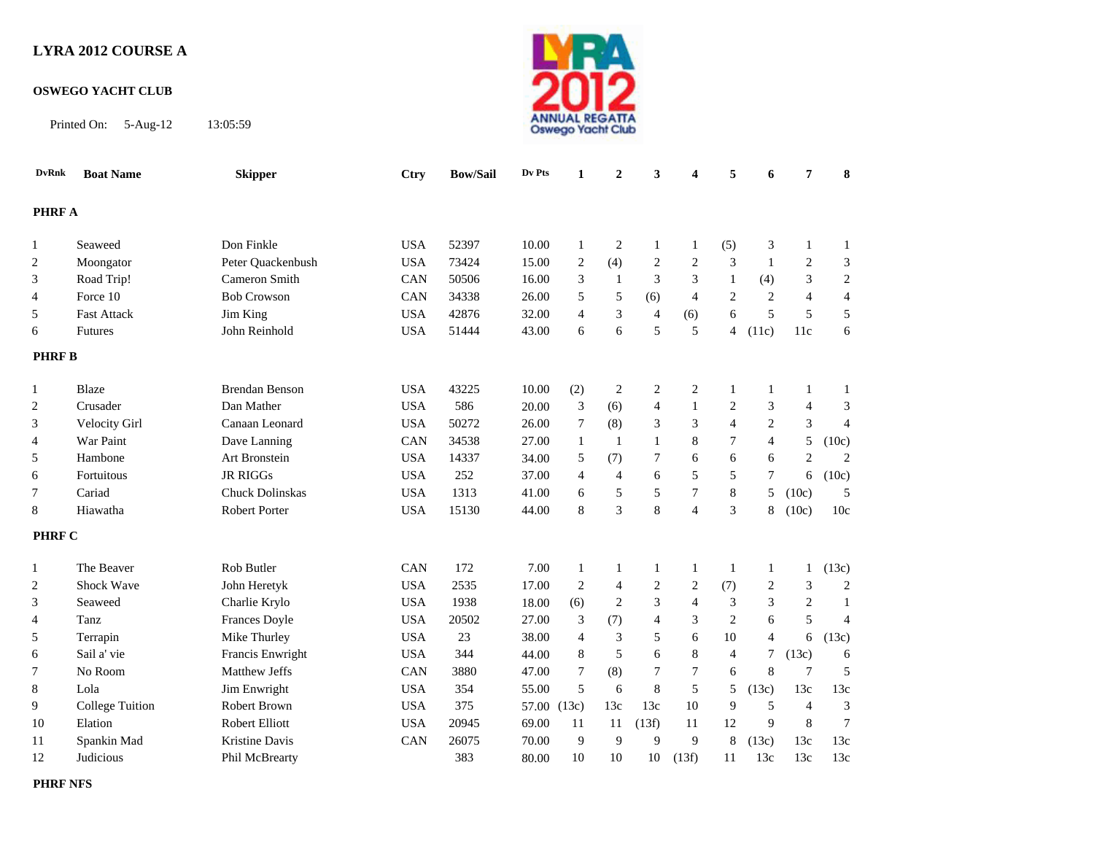## **LYRA 2012 COURSE A**

## **OSWEGO YACHT CLUB**

Printed On: 5-Aug-12 13:05:59



| <b>DvRnk</b>   | <b>Boat Name</b>       | <b>Skipper</b>         | <b>Ctry</b> | <b>Bow/Sail</b> | Dv Pts      | 1              | $\overline{2}$ | 3                | 4                | 5                | 6                | $\overline{7}$ | $\bf{8}$                    |
|----------------|------------------------|------------------------|-------------|-----------------|-------------|----------------|----------------|------------------|------------------|------------------|------------------|----------------|-----------------------------|
| <b>PHRF A</b>  |                        |                        |             |                 |             |                |                |                  |                  |                  |                  |                |                             |
|                |                        |                        |             |                 |             |                |                |                  |                  |                  |                  |                |                             |
| 1              | Seaweed                | Don Finkle             | <b>USA</b>  | 52397           | 10.00       | $\mathbf{1}$   | $\sqrt{2}$     | $\mathbf{1}$     | $\mathbf{1}$     | (5)              | 3                | $\mathbf{1}$   | $\mathbf{1}$                |
| 2              | Moongator              | Peter Quackenbush      | <b>USA</b>  | 73424           | 15.00       | $\overline{2}$ | (4)            | $\overline{c}$   | $\overline{c}$   | 3                | -1               | $\overline{2}$ | 3                           |
| 3              | Road Trip!             | Cameron Smith          | CAN         | 50506           | 16.00       | 3              | -1             | 3                | 3                | $\mathbf{1}$     | (4)              | 3              | $\sqrt{2}$                  |
| $\overline{4}$ | Force 10               | <b>Bob Crowson</b>     | CAN         | 34338           | 26.00       | 5              | 5              | (6)              | $\overline{4}$   | $\overline{2}$   | $\overline{2}$   | $\overline{4}$ | $\overline{4}$              |
| 5              | <b>Fast Attack</b>     | Jim King               | <b>USA</b>  | 42876           | 32.00       | $\overline{4}$ | 3              | $\overline{4}$   | (6)              | 6                | 5                | 5              | 5                           |
| 6              | <b>Futures</b>         | John Reinhold          | <b>USA</b>  | 51444           | 43.00       | 6              | 6              | 5                | 5                | $\overline{4}$   | (11c)            | 11c            | 6                           |
| <b>PHRFB</b>   |                        |                        |             |                 |             |                |                |                  |                  |                  |                  |                |                             |
| 1              | Blaze                  | <b>Brendan Benson</b>  | <b>USA</b>  | 43225           | 10.00       | (2)            | $\overline{2}$ | $\boldsymbol{2}$ | $\boldsymbol{2}$ | $\mathbf{1}$     | 1                | $\mathbf{1}$   | 1                           |
| 2              | Crusader               | Dan Mather             | <b>USA</b>  | 586             | 20.00       | $\mathfrak{Z}$ | (6)            | $\overline{4}$   | 1                | $\overline{c}$   | 3                | $\overline{4}$ | 3                           |
| 3              | Velocity Girl          | Canaan Leonard         | <b>USA</b>  | 50272           | 26.00       | $\tau$         | (8)            | 3                | 3                | $\overline{4}$   | $\overline{c}$   | 3              | $\overline{4}$              |
| $\overline{4}$ | War Paint              | Dave Lanning           | CAN         | 34538           | 27.00       | $\mathbf{1}$   | 1              | $\mathbf{1}$     | 8                | $\boldsymbol{7}$ | $\overline{4}$   | 5              | (10c)                       |
| 5              | Hambone                | Art Bronstein          | <b>USA</b>  | 14337           | 34.00       | 5              | (7)            | $\boldsymbol{7}$ | 6                | 6                | 6                | $\mathbf{2}$   | $\mathbf{2}$                |
| 6              | Fortuitous             | <b>JR RIGGs</b>        | <b>USA</b>  | 252             | 37.00       | 4              | $\overline{4}$ | 6                | 5                | 5                | $\tau$           | 6              | (10c)                       |
| 7              | Cariad                 | <b>Chuck Dolinskas</b> | <b>USA</b>  | 1313            | 41.00       | 6              | 5              | 5                | $\overline{7}$   | $\,$ 8 $\,$      | 5                | (10c)          | 5                           |
| 8              | Hiawatha               | Robert Porter          | <b>USA</b>  | 15130           | 44.00       | 8              | 3              | $\,$ 8 $\,$      | $\overline{4}$   | 3                | 8                | (10c)          | 10c                         |
|                |                        |                        |             |                 |             |                |                |                  |                  |                  |                  |                |                             |
| <b>PHRF C</b>  |                        |                        |             |                 |             |                |                |                  |                  |                  |                  |                |                             |
| 1              | The Beaver             | Rob Butler             | CAN         | 172             | 7.00        | $\mathbf{1}$   | 1              | $\mathbf{1}$     | $\mathbf{1}$     | $\mathbf{1}$     | $\mathbf{1}$     | $\mathbf{1}$   | (13c)                       |
| 2              | Shock Wave             | John Heretyk           | <b>USA</b>  | 2535            | 17.00       | $\sqrt{2}$     | $\overline{4}$ | $\sqrt{2}$       | $\boldsymbol{2}$ | (7)              | $\boldsymbol{2}$ | 3              | $\sqrt{2}$                  |
| 3              | Seaweed                | Charlie Krylo          | <b>USA</b>  | 1938            | 18.00       | (6)            | $\overline{c}$ | 3                | $\overline{4}$   | 3                | 3                | 2              | 1                           |
| 4              | Tanz                   | Frances Doyle          | <b>USA</b>  | 20502           | 27.00       | 3              | (7)            | $\overline{4}$   | 3                | $\sqrt{2}$       | 6                | 5              | $\overline{4}$              |
| 5              | Terrapin               | Mike Thurley           | <b>USA</b>  | 23              | 38.00       | 4              | 3              | 5                | 6                | 10               | $\overline{4}$   | 6              | (13c)                       |
| 6              | Sail a' vie            | Francis Enwright       | <b>USA</b>  | 344             | 44.00       | 8              | 5              | 6                | 8                | 4                | $\tau$           | (13c)          | 6                           |
| 7              | No Room                | Matthew Jeffs          | CAN         | 3880            | 47.00       | 7              | (8)            | 7                | 7                | 6                | 8                | $\overline{7}$ | 5                           |
| 8              | Lola                   | Jim Enwright           | <b>USA</b>  | 354             | 55.00       | 5              | 6              | 8                | 5                | 5                | (13c)            | 13c            | 13c                         |
| 9              | <b>College Tuition</b> | Robert Brown           | <b>USA</b>  | 375             | 57.00 (13c) |                | 13c            | 13c              | 10               | 9                | 5                | $\overline{4}$ | $\ensuremath{\mathfrak{Z}}$ |
| 10             | Elation                | Robert Elliott         | <b>USA</b>  | 20945           | 69.00       | 11             | 11             | (13f)            | 11               | 12               | 9                | 8              | $\overline{7}$              |
| 11             | Spankin Mad            | Kristine Davis         | CAN         | 26075           | 70.00       | 9              | 9              | 9                | 9                | $\,8\,$          | (13c)            | 13c            | 13c                         |
| 12             | Judicious              | Phil McBrearty         |             | 383             | 80.00       | 10             | 10             | $10\,$           | (13f)            | 11               | 13c              | 13c            | 13c                         |

**PHRF NFS**